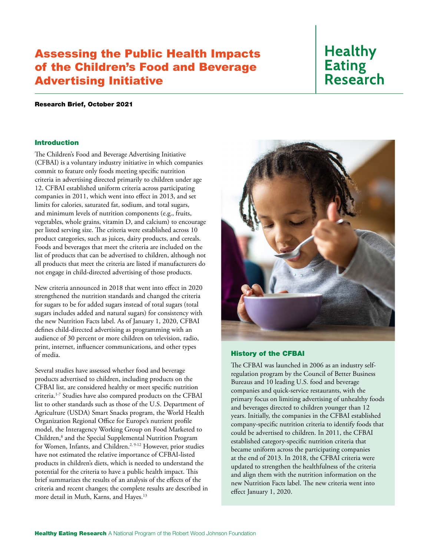## Assessing the Public Health Impacts of the Children's Food and Beverage Advertising Initiative

# **Healthy Eating Research**

#### Research Brief, October 2021

## Introduction

The Children's Food and Beverage Advertising Initiative (CFBAI) is a voluntary industry initiative in which companies commit to feature only foods meeting specific nutrition criteria in advertising directed primarily to children under age 12. CFBAI established uniform criteria across participating companies in 2011, which went into effect in 2013, and set limits for calories, saturated fat, sodium, and total sugars, and minimum levels of nutrition components (e.g., fruits, vegetables, whole grains, vitamin D, and calcium) to encourage per listed serving size. The criteria were established across 10 product categories, such as juices, dairy products, and cereals. Foods and beverages that meet the criteria are included on the list of products that can be advertised to children, although not all products that meet the criteria are listed if manufacturers do not engage in child-directed advertising of those products.

New criteria announced in 2018 that went into effect in 2020 strengthened the nutrition standards and changed the criteria for sugars to be for added sugars instead of total sugars (total sugars includes added and natural sugars) for consistency with the new Nutrition Facts label. As of January 1, 2020, CFBAI defines child-directed advertising as programming with an audience of 30 percent or more children on television, radio, print, internet, influencer communications, and other types of media.

Several studies have assessed whether food and beverage products advertised to children, including products on the CFBAI list, are considered healthy or meet specific nutrition criteria.1-7 Studies have also compared products on the CFBAI list to other standards such as those of the U.S. Department of Agriculture (USDA) Smart Snacks program, the World Health Organization Regional Office for Europe's nutrient profile model, the Interagency Working Group on Food Marketed to Children,<sup>8</sup> and the Special Supplemental Nutrition Program for Women, Infants, and Children.<sup>2, 9-12</sup> However, prior studies have not estimated the relative importance of CFBAI-listed products in children's diets, which is needed to understand the potential for the criteria to have a public health impact. This brief summarizes the results of an analysis of the effects of the criteria and recent changes; the complete results are described in more detail in Muth, Karns, and Hayes.<sup>13</sup>



#### History of the CFBAI

The CFBAI was launched in 2006 as an industry selfregulation program by the Council of Better Business Bureaus and 10 leading U.S. food and beverage companies and quick-service restaurants, with the primary focus on limiting advertising of unhealthy foods and beverages directed to children younger than 12 years. Initially, the companies in the CFBAI established company-specific nutrition criteria to identify foods that could be advertised to children. In 2011, the CFBAI established category-specific nutrition criteria that became uniform across the participating companies at the end of 2013. In 2018, the CFBAI criteria were updated to strengthen the healthfulness of the criteria and align them with the nutrition information on the new Nutrition Facts label. The new criteria went into effect January 1, 2020.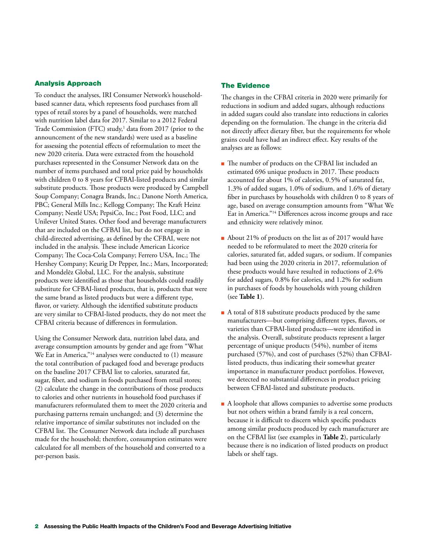### Analysis Approach

To conduct the analyses, IRI Consumer Network's householdbased scanner data, which represents food purchases from all types of retail stores by a panel of households, were matched with nutrition label data for 2017. Similar to a 2012 Federal Trade Commission (FTC) study,<sup>1</sup> data from 2017 (prior to the announcement of the new standards) were used as a baseline for assessing the potential effects of reformulation to meet the new 2020 criteria. Data were extracted from the household purchases represented in the Consumer Network data on the number of items purchased and total price paid by households with children 0 to 8 years for CFBAI-listed products and similar substitute products. Those products were produced by Campbell Soup Company; Conagra Brands, Inc.; Danone North America, PBC; General Mills Inc.; Kellogg Company; The Kraft Heinz Company; Nestlé USA; PepsiCo, Inc.; Post Food, LLC; and Unilever United States. Other food and beverage manufacturers that are included on the CFBAI list, but do not engage in child-directed advertising, as defined by the CFBAI, were not included in the analysis. These include American Licorice Company; The Coca-Cola Company; Ferrero USA, Inc.; The Hershey Company; Keurig Dr Pepper, Inc.; Mars, Incorporated; and Mondelēz Global, LLC. For the analysis, substitute products were identified as those that households could readily substitute for CFBAI-listed products, that is, products that were the same brand as listed products but were a different type, flavor, or variety. Although the identified substitute products are very similar to CFBAI-listed products, they do not meet the CFBAI criteria because of differences in formulation.

Using the Consumer Network data, nutrition label data, and average consumption amounts by gender and age from "What We Eat in America,"<sup>14</sup> analyses were conducted to (1) measure the total contribution of packaged food and beverage products on the baseline 2017 CFBAI list to calories, saturated fat, sugar, fiber, and sodium in foods purchased from retail stores; (2) calculate the change in the contributions of those products to calories and other nutrients in household food purchases if manufacturers reformulated them to meet the 2020 criteria and purchasing patterns remain unchanged; and (3) determine the relative importance of similar substitutes not included on the CFBAI list. The Consumer Network data include all purchases made for the household; therefore, consumption estimates were calculated for all members of the household and converted to a per-person basis.

## The Evidence

The changes in the CFBAI criteria in 2020 were primarily for reductions in sodium and added sugars, although reductions in added sugars could also translate into reductions in calories depending on the formulation. The change in the criteria did not directly affect dietary fiber, but the requirements for whole grains could have had an indirect effect. Key results of the analyses are as follows:

- The number of products on the CFBAI list included an estimated 696 unique products in 2017. These products accounted for about 1% of calories, 0.5% of saturated fat, 1.3% of added sugars, 1.0% of sodium, and 1.6% of dietary fiber in purchases by households with children 0 to 8 years of age, based on average consumption amounts from "What We Eat in America."14 Differences across income groups and race and ethnicity were relatively minor.
- About 21% of products on the list as of 2017 would have needed to be reformulated to meet the 2020 criteria for calories, saturated fat, added sugars, or sodium. If companies had been using the 2020 criteria in 2017, reformulation of these products would have resulted in reductions of 2.4% for added sugars, 0.8% for calories, and 1.2% for sodium in purchases of foods by households with young children (see **Table 1**).
- A total of 818 substitute products produced by the same manufacturers—but comprising different types, flavors, or varieties than CFBAI-listed products—were identified in the analysis. Overall, substitute products represent a larger percentage of unique products (54%), number of items purchased (57%), and cost of purchases (52%) than CFBAIlisted products, thus indicating their somewhat greater importance in manufacturer product portfolios. However, we detected no substantial differences in product pricing between CFBAI-listed and substitute products.
- A loophole that allows companies to advertise some products but not others within a brand family is a real concern, because it is difficult to discern which specific products among similar products produced by each manufacturer are on the CFBAI list (see examples in **Table 2**), particularly because there is no indication of listed products on product labels or shelf tags.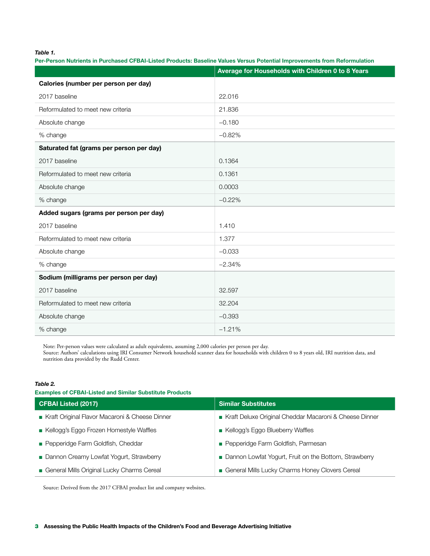*Table 1.*

Per-Person Nutrients in Purchased CFBAI-Listed Products: Baseline Values Versus Potential Improvements from Reformulation

|                                          | Average for Households with Children 0 to 8 Years |
|------------------------------------------|---------------------------------------------------|
| Calories (number per person per day)     |                                                   |
| 2017 baseline                            | 22.016                                            |
| Reformulated to meet new criteria        | 21.836                                            |
| Absolute change                          | $-0.180$                                          |
| % change                                 | $-0.82%$                                          |
| Saturated fat (grams per person per day) |                                                   |
| 2017 baseline                            | 0.1364                                            |
| Reformulated to meet new criteria        | 0.1361                                            |
| Absolute change                          | 0.0003                                            |
| % change                                 | $-0.22%$                                          |
| Added sugars (grams per person per day)  |                                                   |
| 2017 baseline                            | 1.410                                             |
| Reformulated to meet new criteria        | 1.377                                             |
| Absolute change                          | $-0.033$                                          |
| % change                                 | $-2.34%$                                          |
| Sodium (milligrams per person per day)   |                                                   |
| 2017 baseline                            | 32.597                                            |
| Reformulated to meet new criteria        | 32.204                                            |
| Absolute change                          | $-0.393$                                          |
| % change                                 | $-1.21%$                                          |

Note: Per-person values were calculated as adult equivalents, assuming 2,000 calories per person per day. Source: Authors' calculations using IRI Consumer Network household scanner data for households with children 0 to 8 years old, IRI nutrition data, and nutrition data provided by the Rudd Center.

#### *Table 2.*

Examples of CFBAI-Listed and Similar Substitute Products

| <b>CFBAI Listed (2017)</b>                     | <b>Similar Substitutes</b>                             |
|------------------------------------------------|--------------------------------------------------------|
| Kraft Original Flavor Macaroni & Cheese Dinner | Kraft Deluxe Original Cheddar Macaroni & Cheese Dinner |
| Kellogg's Eggo Frozen Homestyle Waffles        | Kellogg's Eggo Blueberry Waffles                       |
| Pepperidge Farm Goldfish, Cheddar              | Pepperidge Farm Goldfish, Parmesan                     |
| Dannon Creamy Lowfat Yogurt, Strawberry        | Dannon Lowfat Yogurt, Fruit on the Bottom, Strawberry  |
| General Mills Original Lucky Charms Cereal     | General Mills Lucky Charms Honey Clovers Cereal        |

Source: Derived from the 2017 CFBAI product list and company websites.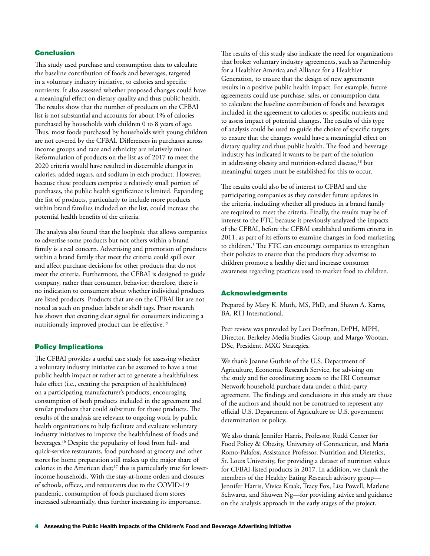## Conclusion

This study used purchase and consumption data to calculate the baseline contribution of foods and beverages, targeted in a voluntary industry initiative, to calories and specific nutrients. It also assessed whether proposed changes could have a meaningful effect on dietary quality and thus public health. The results show that the number of products on the CFBAI list is not substantial and accounts for about 1% of calories purchased by households with children 0 to 8 years of age. Thus, most foods purchased by households with young children are not covered by the CFBAI. Differences in purchases across income groups and race and ethnicity are relatively minor. Reformulation of products on the list as of 2017 to meet the 2020 criteria would have resulted in discernible changes in calories, added sugars, and sodium in each product. However, because these products comprise a relatively small portion of purchases, the public health significance is limited. Expanding the list of products, particularly to include more products within brand families included on the list, could increase the potential health benefits of the criteria.

The analysis also found that the loophole that allows companies to advertise some products but not others within a brand family is a real concern. Advertising and promotion of products within a brand family that meet the criteria could spill over and affect purchase decisions for other products that do not meet the criteria. Furthermore, the CFBAI is designed to guide company, rather than consumer, behavior; therefore, there is no indication to consumers about whether individual products are listed products. Products that are on the CFBAI list are not noted as such on product labels or shelf tags. Prior research has shown that creating clear signal for consumers indicating a nutritionally improved product can be effective.15

### Policy Implications

The CFBAI provides a useful case study for assessing whether a voluntary industry initiative can be assumed to have a true public health impact or rather act to generate a healthfulness halo effect (i.e., creating the perception of healthfulness) on a participating manufacturer's products, encouraging consumption of both products included in the agreement and similar products that could substitute for those products. The results of the analysis are relevant to ongoing work by public health organizations to help facilitate and evaluate voluntary industry initiatives to improve the healthfulness of foods and beverages.16 Despite the popularity of food from full- and quick-service restaurants, food purchased at grocery and other stores for home preparation still makes up the major share of calories in the American diet;<sup>17</sup> this is particularly true for lowerincome households. With the stay-at-home orders and closures of schools, offices, and restaurants due to the COVID-19 pandemic, consumption of foods purchased from stores increased substantially, thus further increasing its importance.

The results of this study also indicate the need for organizations that broker voluntary industry agreements, such as Partnership for a Healthier America and Alliance for a Healthier Generation, to ensure that the design of new agreements results in a positive public health impact. For example, future agreements could use purchase, sales, or consumption data to calculate the baseline contribution of foods and beverages included in the agreement to calories or specific nutrients and to assess impact of potential changes. The results of this type of analysis could be used to guide the choice of specific targets to ensure that the changes would have a meaningful effect on dietary quality and thus public health. The food and beverage industry has indicated it wants to be part of the solution in addressing obesity and nutrition-related disease,<sup>18</sup> but meaningful targets must be established for this to occur.

The results could also be of interest to CFBAI and the participating companies as they consider future updates in the criteria, including whether all products in a brand family are required to meet the criteria. Finally, the results may be of interest to the FTC because it previously analyzed the impacts of the CFBAI, before the CFBAI established uniform criteria in 2011, as part of its efforts to examine changes in food marketing to children.<sup>1</sup> The FTC can encourage companies to strengthen their policies to ensure that the products they advertise to children promote a healthy diet and increase consumer awareness regarding practices used to market food to children.

### Acknowledgments

Prepared by Mary K. Muth, MS, PhD, and Shawn A. Karns, BA, RTI International.

Peer review was provided by Lori Dorfman, DrPH, MPH, Director, Berkeley Media Studies Group, and Margo Wootan, DSc, President, MXG Strategies.

We thank Joanne Guthrie of the U.S. Department of Agriculture, Economic Research Service, for advising on the study and for coordinating access to the IRI Consumer Network household purchase data under a third-party agreement. The findings and conclusions in this study are those of the authors and should not be construed to represent any official U.S. Department of Agriculture or U.S. government determination or policy.

We also thank Jennifer Harris, Professor, Rudd Center for Food Policy & Obesity, University of Connecticut, and Maria Romo-Palafox, Assistance Professor, Nutrition and Dietetics, St. Louis University, for providing a dataset of nutrition values for CFBAI-listed products in 2017. In addition, we thank the members of the Healthy Eating Research advisory group— Jennifer Harris, Vivica Kraak, Tracy Fox, Lisa Powell, Marlene Schwartz, and Shuwen Ng—for providing advice and guidance on the analysis approach in the early stages of the project.